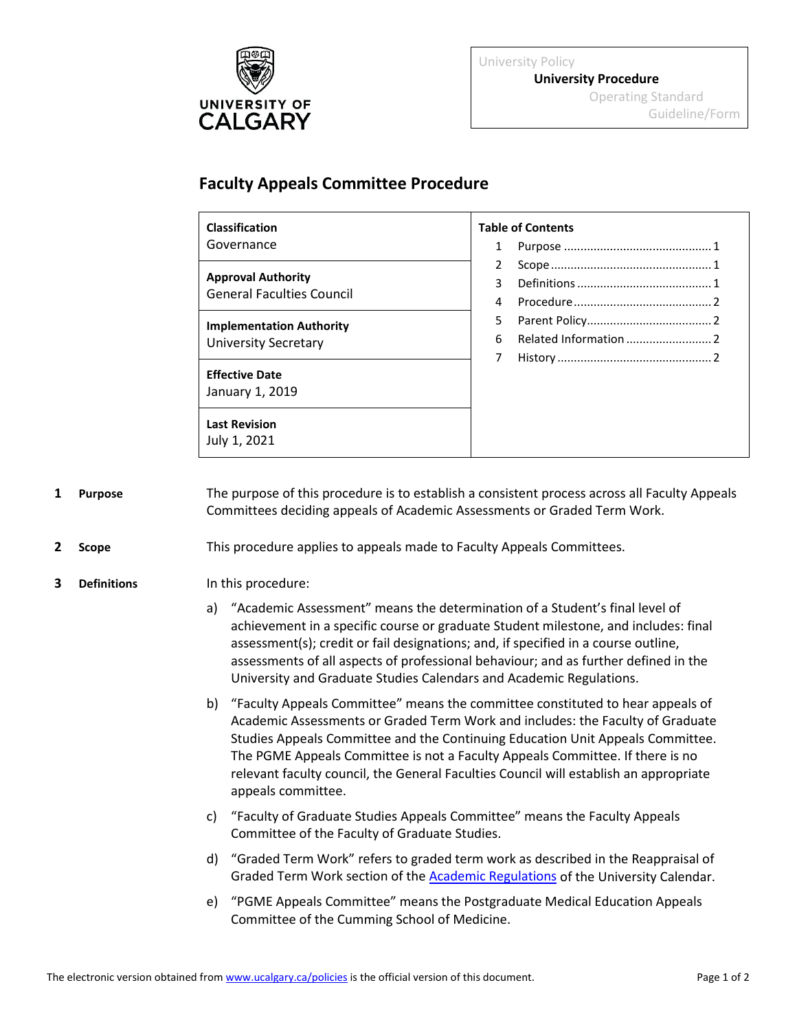

University Policy **University Procedure** Operating Standard Guideline/Form

## **Faculty Appeals Committee Procedure**

| <b>Classification</b>                                         | <b>Table of Contents</b> |  |
|---------------------------------------------------------------|--------------------------|--|
| Governance                                                    |                          |  |
|                                                               | $\overline{2}$           |  |
| <b>Approval Authority</b><br><b>General Faculties Council</b> | 3                        |  |
|                                                               | 4                        |  |
| <b>Implementation Authority</b>                               | 5.                       |  |
| <b>University Secretary</b>                                   | 6                        |  |
|                                                               | 7                        |  |
| <b>Effective Date</b>                                         |                          |  |
| January 1, 2019                                               |                          |  |
| <b>Last Revision</b><br>July 1, 2021                          |                          |  |

<span id="page-0-0"></span>**1 Purpose** The purpose of this procedure is to establish a consistent process across all Faculty Appeals Committees deciding appeals of Academic Assessments or Graded Term Work.

## <span id="page-0-1"></span>**2 Scope** This procedure applies to appeals made to Faculty Appeals Committees.

## <span id="page-0-2"></span>**3 Definitions** In this procedure:

- a) "Academic Assessment" means the determination of a Student's final level of achievement in a specific course or graduate Student milestone, and includes: final assessment(s); credit or fail designations; and, if specified in a course outline, assessments of all aspects of professional behaviour; and as further defined in the University and Graduate Studies Calendars and Academic Regulations.
- b) "Faculty Appeals Committee" means the committee constituted to hear appeals of Academic Assessments or Graded Term Work and includes: the Faculty of Graduate Studies Appeals Committee and the Continuing Education Unit Appeals Committee. The PGME Appeals Committee is not a Faculty Appeals Committee. If there is no relevant faculty council, the General Faculties Council will establish an appropriate appeals committee.
- c) "Faculty of Graduate Studies Appeals Committee" means the Faculty Appeals Committee of the Faculty of Graduate Studies.
- d) "Graded Term Work" refers to graded term work as described in the Reappraisal of Graded Term Work section of the **Academic Regulations** of the University Calendar.
- e) "PGME Appeals Committee" means the Postgraduate Medical Education Appeals Committee of the Cumming School of Medicine.